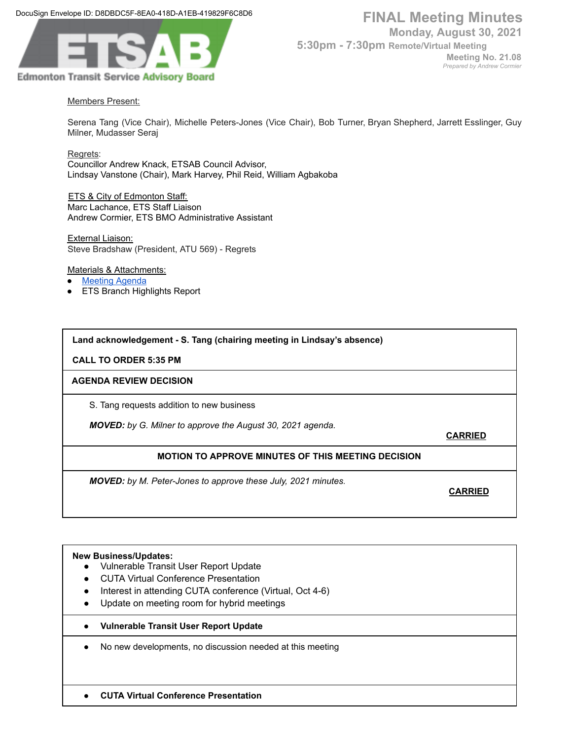DocuSign Envelope ID: D8DBDC5F-8EA0-418D-A1EB-419829F6C8D6



**Monday, August 30, 2021**

**5:30pm - 7:30pm Remote/Virtual Meeting**

**Meeting No. 21.08** *Prepared by Andrew Cormier*

## Members Present:

Serena Tang (Vice Chair), Michelle Peters-Jones (Vice Chair), Bob Turner, Bryan Shepherd, Jarrett Esslinger, Guy Milner, Mudasser Seraj

Regrets:

Councillor Andrew Knack, ETSAB Council Advisor, Lindsay Vanstone (Chair), Mark Harvey, Phil Reid, William Agbakoba

ETS & City of Edmonton Staff: Marc Lachance, ETS Staff Liaison Andrew Cormier, ETS BMO Administrative Assistant

External Liaison: Steve Bradshaw (President, ATU 569) - Regrets

Materials & Attachments:

- **[Meeting](https://docs.google.com/document/d/1a88e6RsmghnbsWll1fXWRTuGPs79rshq6BnCTD5Cduk/edit) Agenda**
- **ETS Branch Highlights Report**

**Land acknowledgement - S. Tang (chairing meeting in Lindsay's absence)**

**CALL TO ORDER 5:35 PM**

### **AGENDA REVIEW DECISION**

S. Tang requests addition to new business

*MOVED: by G. Milner to approve the August 30, 2021 agenda.*

**CARRIED**

# **MOTION TO APPROVE MINUTES OF THIS MEETING DECISION**

*MOVED: by M. Peter-Jones to approve these July, 2021 minutes.*

**CARRIED**

### **New Business/Updates:**

- Vulnerable Transit User Report Update
- CUTA Virtual Conference Presentation
- Interest in attending CUTA conference (Virtual, Oct 4-6)
- Update on meeting room for hybrid meetings
- **● Vulnerable Transit User Report Update**
- No new developments, no discussion needed at this meeting
- **● CUTA Virtual Conference Presentation**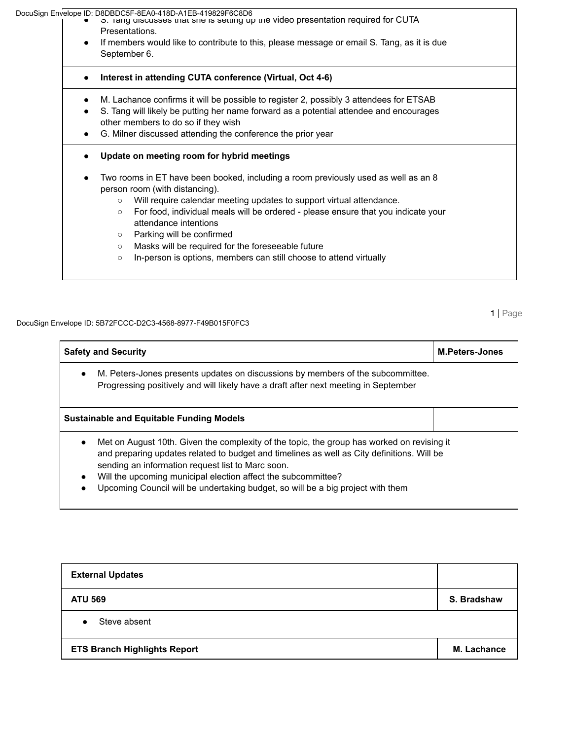DocuSign Envelope ID: D8DBDC5F-8EA0-418D-A1EB-419829F6C8D6<br>I DocuSign Envelope ID: O is ang discusses that she is setting up the video presentation required for CUTA ( ⊇ Presentations. ● If members would like to contribute to this, please message or email S. Tang, as it is due September 6. **● Interest in attending CUTA conference (Virtual, Oct 4-6)** ● M. Lachance confirms it will be possible to register 2, possibly 3 attendees for ETSAB ● S. Tang will likely be putting her name forward as a potential attendee and encourages other members to do so if they wish ● G. Milner discussed attending the conference the prior year **● Update on meeting room for hybrid meetings** ● Two rooms in ET have been booked, including a room previously used as well as an 8 person room (with distancing). ○ Will require calendar meeting updates to support virtual attendance. ○ For food, individual meals will be ordered - please ensure that you indicate your attendance intentions ○ Parking will be confirmed ○ Masks will be required for the foreseeable future ○ In-person is options, members can still choose to attend virtually

DocuSign Envelope ID: 5B72FCCC-D2C3-4568-8977-F49B015F0FC3

1 | Page

| <b>Safety and Security</b>                                                                                                                                                                                                                                                                                                                                                                                                  | <b>M.Peters-Jones</b> |  |  |  |
|-----------------------------------------------------------------------------------------------------------------------------------------------------------------------------------------------------------------------------------------------------------------------------------------------------------------------------------------------------------------------------------------------------------------------------|-----------------------|--|--|--|
| M. Peters-Jones presents updates on discussions by members of the subcommittee.<br>Progressing positively and will likely have a draft after next meeting in September                                                                                                                                                                                                                                                      |                       |  |  |  |
| <b>Sustainable and Equitable Funding Models</b>                                                                                                                                                                                                                                                                                                                                                                             |                       |  |  |  |
| Met on August 10th. Given the complexity of the topic, the group has worked on revising it<br>$\bullet$<br>and preparing updates related to budget and timelines as well as City definitions. Will be<br>sending an information request list to Marc soon.<br>Will the upcoming municipal election affect the subcommittee?<br>$\bullet$<br>Upcoming Council will be undertaking budget, so will be a big project with them |                       |  |  |  |

| <b>External Updates</b>             |                    |
|-------------------------------------|--------------------|
| <b>ATU 569</b>                      | S. Bradshaw        |
| Steve absent<br>$\bullet$           |                    |
| <b>ETS Branch Highlights Report</b> | <b>M. Lachance</b> |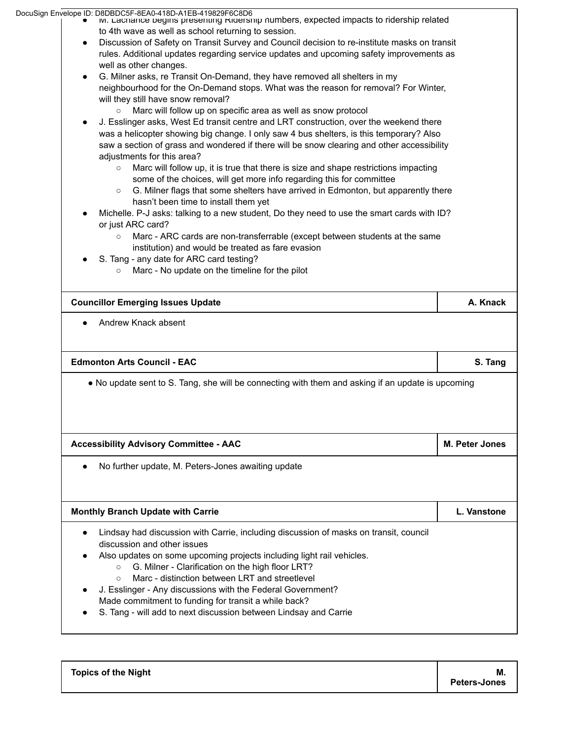|  | DocuSign Envelope ID: D8DBDC5F-8EA0-418D-A1EB-419829F6C8D6                                        |                |
|--|---------------------------------------------------------------------------------------------------|----------------|
|  | M. Lachance begins presenting Kidership numbers, expected impacts to ridership related            |                |
|  | to 4th wave as well as school returning to session.                                               |                |
|  | Discussion of Safety on Transit Survey and Council decision to re-institute masks on transit      |                |
|  | rules. Additional updates regarding service updates and upcoming safety improvements as           |                |
|  | well as other changes.                                                                            |                |
|  | G. Milner asks, re Transit On-Demand, they have removed all shelters in my                        |                |
|  | neighbourhood for the On-Demand stops. What was the reason for removal? For Winter,               |                |
|  | will they still have snow removal?                                                                |                |
|  | Marc will follow up on specific area as well as snow protocol<br>$\circ$                          |                |
|  | J. Esslinger asks, West Ed transit centre and LRT construction, over the weekend there            |                |
|  | was a helicopter showing big change. I only saw 4 bus shelters, is this temporary? Also           |                |
|  | saw a section of grass and wondered if there will be snow clearing and other accessibility        |                |
|  | adjustments for this area?                                                                        |                |
|  | Marc will follow up, it is true that there is size and shape restrictions impacting<br>$\circ$    |                |
|  | some of the choices, will get more info regarding this for committee                              |                |
|  | G. Milner flags that some shelters have arrived in Edmonton, but apparently there<br>$\circ$      |                |
|  | hasn't been time to install them yet                                                              |                |
|  | Michelle. P-J asks: talking to a new student, Do they need to use the smart cards with ID?        |                |
|  | or just ARC card?                                                                                 |                |
|  | Marc - ARC cards are non-transferrable (except between students at the same                       |                |
|  | institution) and would be treated as fare evasion                                                 |                |
|  | S. Tang - any date for ARC card testing?                                                          |                |
|  | Marc - No update on the timeline for the pilot<br>$\circ$                                         |                |
|  |                                                                                                   |                |
|  | <b>Councillor Emerging Issues Update</b>                                                          | A. Knack       |
|  |                                                                                                   |                |
|  | Andrew Knack absent                                                                               |                |
|  |                                                                                                   |                |
|  |                                                                                                   |                |
|  |                                                                                                   |                |
|  | <b>Edmonton Arts Council - EAC</b>                                                                | S. Tang        |
|  |                                                                                                   |                |
|  | • No update sent to S. Tang, she will be connecting with them and asking if an update is upcoming |                |
|  |                                                                                                   |                |
|  |                                                                                                   |                |
|  |                                                                                                   |                |
|  |                                                                                                   |                |
|  | <b>Accessibility Advisory Committee - AAC</b>                                                     | M. Peter Jones |
|  |                                                                                                   |                |
|  | No further update, M. Peters-Jones awaiting update                                                |                |
|  |                                                                                                   |                |
|  |                                                                                                   |                |
|  | <b>Monthly Branch Update with Carrie</b>                                                          | L. Vanstone    |
|  |                                                                                                   |                |
|  | Lindsay had discussion with Carrie, including discussion of masks on transit, council             |                |
|  | discussion and other issues                                                                       |                |
|  | Also updates on some upcoming projects including light rail vehicles.                             |                |
|  | G. Milner - Clarification on the high floor LRT?<br>$\circ$                                       |                |
|  | Marc - distinction between LRT and streetlevel<br>$\circ$                                         |                |
|  | J. Esslinger - Any discussions with the Federal Government?                                       |                |
|  | Made commitment to funding for transit a while back?                                              |                |
|  | S. Tang - will add to next discussion between Lindsay and Carrie                                  |                |